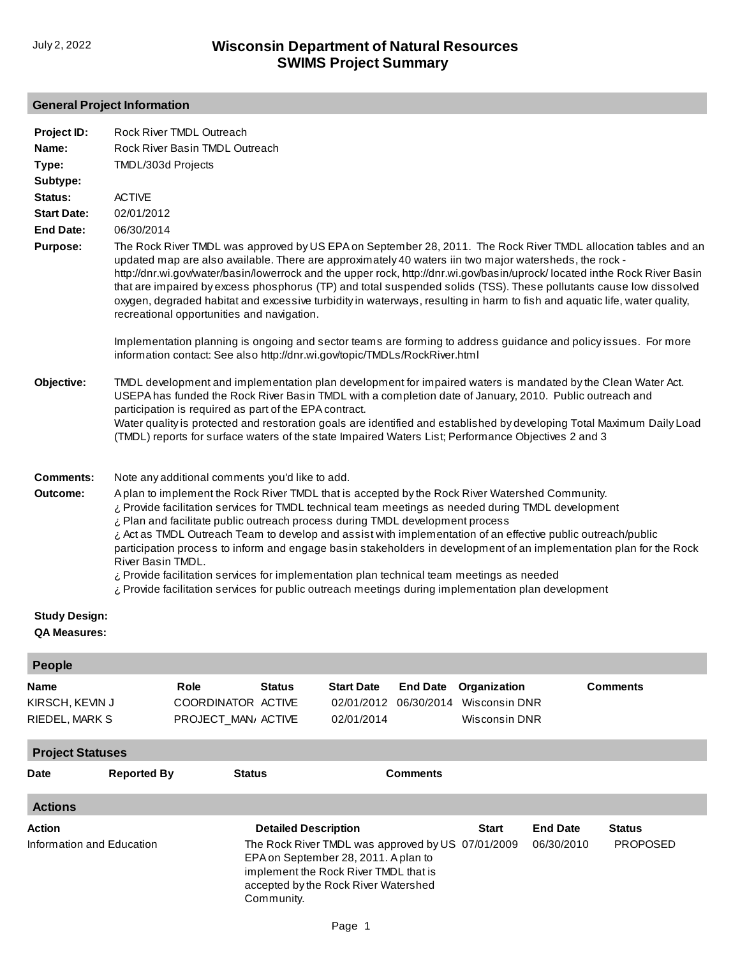## **General Project Information**

| KIRSCH, KEVIN J<br><b>RIEDEL, MARK S</b>   |                    | COORDINATOR ACTIVE<br>PROJECT_MAN/ ACTIVE                                                                                                                                                                               | 02/01/2012<br>06/30/2014<br>02/01/2014 | Wisconsin DNR<br>Wisconsin DNR |                               |                                  |
|--------------------------------------------|--------------------|-------------------------------------------------------------------------------------------------------------------------------------------------------------------------------------------------------------------------|----------------------------------------|--------------------------------|-------------------------------|----------------------------------|
| <b>Project Statuses</b>                    |                    |                                                                                                                                                                                                                         |                                        |                                |                               |                                  |
| <b>Date</b>                                | <b>Reported By</b> | <b>Status</b>                                                                                                                                                                                                           | <b>Comments</b>                        |                                |                               |                                  |
| <b>Actions</b>                             |                    |                                                                                                                                                                                                                         |                                        |                                |                               |                                  |
| <b>Action</b><br>Information and Education |                    | <b>Detailed Description</b><br>The Rock River TMDL was approved by US 07/01/2009<br>EPA on September 28, 2011. A plan to<br>implement the Rock River TMDL that is<br>accepted by the Rock River Watershed<br>Community. |                                        | <b>Start</b>                   | <b>End Date</b><br>06/30/2010 | <b>Status</b><br><b>PROPOSED</b> |